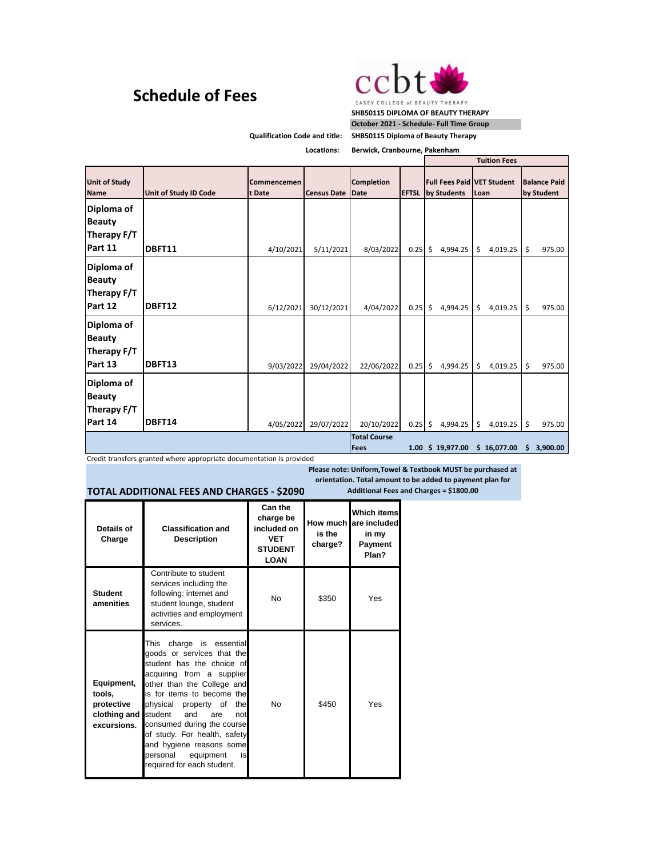## **Schedule of Fees**



**SHB50115 DIPLOMA OF BEAUTY THERAPY October 2021 - Schedule- Full Time Group**

**Qualification Code and title:** 

**SHB50115 Diploma of Beauty Therapy**

**LocatIons:**

| Berwick, Cranbourne, Pakenham |  |
|-------------------------------|--|

|                                                       |                       |                       |                    |                                  |              | <b>Tuition Fees</b>                 |                                           |                                   |
|-------------------------------------------------------|-----------------------|-----------------------|--------------------|----------------------------------|--------------|-------------------------------------|-------------------------------------------|-----------------------------------|
| <b>Unit of Study</b><br><b>Name</b>                   | Unit of Study ID Code | Commencemen<br>t Date | <b>Census Date</b> | <b>Completion</b><br><b>Date</b> | <b>EFTSL</b> | by Students                         | <b>Full Fees Paid VET Student</b><br>Loan | <b>Balance Paid</b><br>by Student |
| Diploma of<br><b>Beauty</b><br>Therapy F/T<br>Part 11 | DBFT11                | 4/10/2021             | 5/11/2021          | 8/03/2022                        | 0.25         | $\zeta$<br>4,994.25                 | \$<br>4,019.25                            | \$<br>975.00                      |
| Diploma of<br><b>Beauty</b><br>Therapy F/T<br>Part 12 | DBFT12                | 6/12/2021             | 30/12/2021         | 4/04/2022                        | 0.25         | $\overline{\mathsf{s}}$<br>4,994.25 | \$<br>4,019.25                            | \$<br>975.00                      |
| Diploma of<br><b>Beauty</b><br>Therapy F/T<br>Part 13 | DBFT13                | 9/03/2022             | 29/04/2022         | 22/06/2022                       | $0.25$ \$    | 4,994.25                            | \$<br>4,019.25                            | $\zeta$<br>975.00                 |
| Diploma of<br><b>Beauty</b><br>Therapy F/T<br>Part 14 | DBFT14                | 4/05/2022             | 29/07/2022         | 20/10/2022                       | $0.25$ \$    | 4,994.25                            | \$<br>4,019.25                            | $\zeta$<br>975.00                 |
|                                                       |                       |                       |                    | <b>Total Course</b><br>Fees      |              | 1.00 \$ 19,977.00                   | \$16,077.00                               | 3,900.00<br>s                     |

Credit transfers granted where appropriate documentation is provided

**Please note: Uniform,Towel & Textbook MUST be purchased at orientation. Total amount to be added to payment plan for** 

## **TOTAL ADDITIONAL FEES AND CHARGES - \$2090**

**Details of Charge Classification and Description Can the charge be included on VET STUDENT LOAN How much are included is the charge? Which items in my Payment Plan? Student amenities** Contribute to student services including the following: internet and student lounge, student activities and employment services. No **5350** Yes **Equipment, tools, protective clothing and excursions.**  This charge is essential goods or services that the student has the choice of acquiring from a supplier other than the College and is for items to become the physical property of the<br>student and are not and are not consumed during the course of study. For health, safety and hygiene reasons some personal equipment is required for each student. No \$450 Yes

**Additional Fees and Charges = \$1800.00**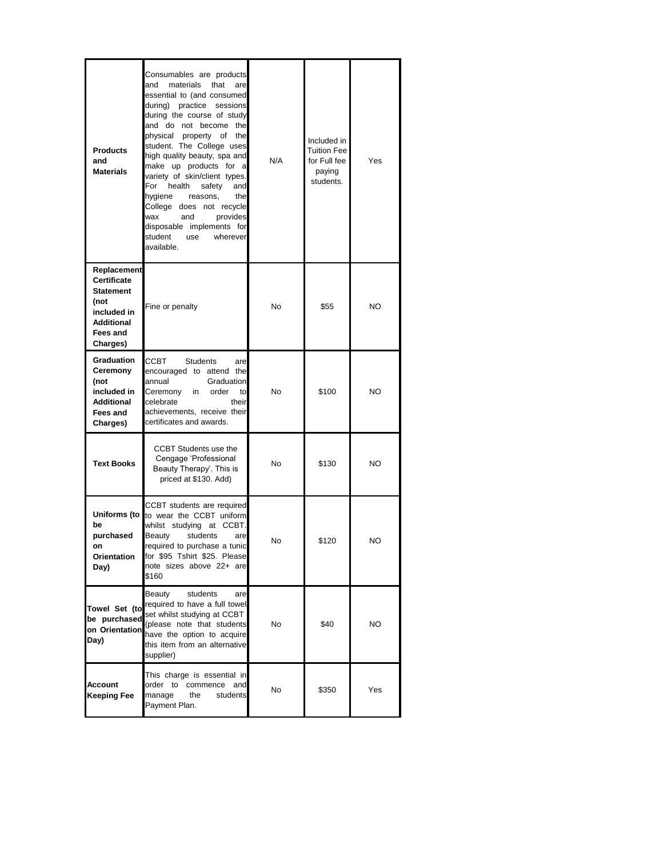| <b>Products</b><br>and<br><b>Materials</b>                                                                                | Consumables are products<br>that<br>and<br>materials<br>are<br>essential to (and consumed<br>practice sessions<br>during)<br>during the course of study<br>and do not become the<br>physical property of<br>the<br>student. The College uses<br>high quality beauty, spa and<br>make up products for a<br>variety of skin/client types.<br>For<br>health<br>and<br>safety<br>hygiene<br>reasons,<br>the<br>College does not recycle<br>wax<br>and<br>provides<br>disposable implements for<br>student<br>wherever<br>use<br>available. | N/A | Included in<br>Tuition Fee<br>for Full fee<br>paying<br>students. | Yes |
|---------------------------------------------------------------------------------------------------------------------------|----------------------------------------------------------------------------------------------------------------------------------------------------------------------------------------------------------------------------------------------------------------------------------------------------------------------------------------------------------------------------------------------------------------------------------------------------------------------------------------------------------------------------------------|-----|-------------------------------------------------------------------|-----|
| Replacement<br><b>Certificate</b><br><b>Statement</b><br>(not<br>included in<br><b>Additional</b><br>Fees and<br>Charges) | Fine or penalty                                                                                                                                                                                                                                                                                                                                                                                                                                                                                                                        | No  | \$55                                                              | NO  |
| <b>Graduation</b><br>Ceremony<br>(not<br>included in<br><b>Additional</b><br>Fees and<br>Charges)                         | ССВТ<br><b>Students</b><br>are<br>encouraged to attend the<br>Graduation<br>annual<br>Ceremony<br>order<br>in<br>to<br>celebrate<br>their<br>achievements, receive their<br>certificates and awards.                                                                                                                                                                                                                                                                                                                                   | No  | \$100                                                             | NO  |
| <b>Text Books</b>                                                                                                         | <b>CCBT Students use the</b><br>Cengage 'Professional<br>Beauty Therapy'. This is<br>priced at \$130. Add)                                                                                                                                                                                                                                                                                                                                                                                                                             | No  | \$130                                                             | NO  |
| Uniforms (to  <br>be<br>purchased<br>on<br>Orientation<br>Day)                                                            | CCBT students are required<br>to wear the CCBT uniform<br>whilst studying at CCBT.<br>students<br>Beauty<br>are<br>required to purchase a tunic<br>for \$95 Tshirt \$25. Please<br>note sizes above 22+ are<br>\$160                                                                                                                                                                                                                                                                                                                   | No  | \$120                                                             | NO  |
| be purchased<br>on Orientation<br>Day)                                                                                    | Beauty<br>students<br>are<br>Towel Set (to required to have a full towel<br>set whilst studying at CCBT<br>(please note that students<br>have the option to acquire<br>this item from an alternative<br>supplier)                                                                                                                                                                                                                                                                                                                      | No  | \$40                                                              | NO. |
| Account<br>Keeping Fee                                                                                                    | This charge is essential in<br>order to<br>commence<br>and<br>manage<br>the<br>students<br>Payment Plan.                                                                                                                                                                                                                                                                                                                                                                                                                               | No  | \$350                                                             | Yes |